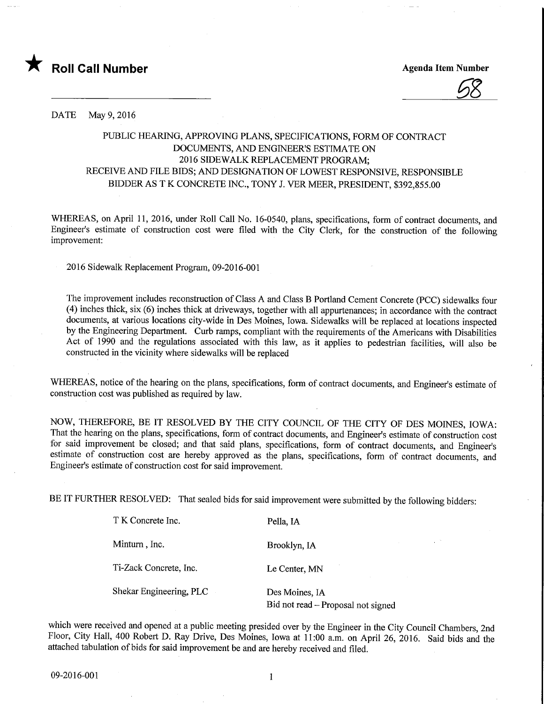

DATE May 9, 2016

## PUBLIC HEARING, APPROVING PLANS, SPECIFICATIONS, FORM OF CONTRACT DOCUMENTS, AND ENGINEER'S ESTIMATE ON 2016 SIDEWALK REPLACEMENT PROGRAM; RECEIVE AND FILE BIDS; AND DESIGNATION OF LOWEST RESPONSIVE, RESPONSIBLE BIDDER AS T K CONCRETE INC., TONY J. VER MEER, PRESIDENT, \$392,855.00

WHEREAS, on April 11, 2016, under Roll Call No. 16-0540, plans, specifications, form of contract documents, and Engineer's estimate of construction cost were filed with the City Clerk, for the constmction of the following improvement:

2016 Sidewalk Replacement Program, 09-2016-001

The improvement includes reconstruction of Class A and Class B Portland Cement Concrete (PCC) sidewalks four (4) inches thick, six (6) inches thick at driveways, together with all appurtenances; in accordance with the contract documents, at various locations city-wide in Des Moines, Iowa. Sidewalks will be replaced at locations inspected by the Engineering Department. Curb ramps, compliant with the requirements of the Americans with Disabilities Act of 1990 and the regulations associated with this law, as it applies to pedestrian facilities, will also be constructed in the vicinity where sidewalks will be replaced

WHEREAS, notice of the hearing on the plans, specifications, form of contract documents, and Engineer's estimate of construction cost was published as required by law.

NOW, THEREFORE, BE IT RESOLVED BY THE CITY COUNCIL OF THE CITY OF DES MOINES, IOWA: That the hearing on the plans, specifications, form of contract documents, and Engineer's estimate of construction cost for said improvement be closed; and that said plans, specifications, form of contract documents, and Engineer's estimate of construction cost are hereby approved as the plans, specifications, form of contract documents, and Engineer's estimate of construction cost for said improvement.

BE IT FURTHER RESOLVED: That sealed bids for said improvement were submitted by the following bidders:

| T K Concrete Inc.       | Pella, IA                                            |
|-------------------------|------------------------------------------------------|
| Minturn, Inc.           | Brooklyn, IA                                         |
| Ti-Zack Concrete, Inc.  | Le Center, MN                                        |
| Shekar Engineering, PLC | Des Moines, IA<br>Bid not read – Proposal not signed |

which were received and opened at a public meeting presided over by the Engineer in the City Council Chambers, 2nd Floor, City Hall, 400 Robert D. Ray Drive, Des Moines, Iowa at 11:00 a.m. on April 26, 2016. Said bids and the attached tabulation of bids for said improvement be and are hereby received and filed.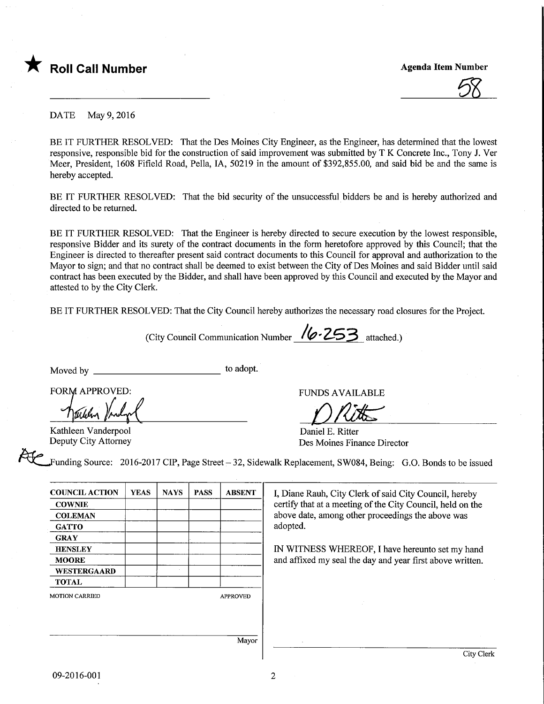

DATE May 9, 2016

BE IT FURTHER RESOLVED: That the Des Moines City Engineer, as the Engineer, has determined that the lowest responsive, responsible bid for the construction of said improvement was submitted by T K Concrete Inc., Tony J. Ver Meer, President, 1608 Fifield Road, Pella, IA, 50219 in the amount of \$392,855.00, and said bid be and the same is hereby accepted.

BE IT FURTHER RESOLVED: That the bid security of the unsuccessful bidders be and is hereby authorized and directed to be returned.

BE IT FURTHER RESOLVED: That the Engineer is hereby directed to secure execution by the lowest responsible, responsive Bidder and its surety of the contract documents in the form heretofore approved by this Council; that the Engineer is directed to thereafter present said contract documents to this Council for approval and authorization to the Mayor to sign; and that no contract shall be deemed to exist between the City of Des Moines and said Bidder until said contract has been executed by the Bidder, and shall have been approved by this Council and executed by the Mayor and attested to by the City Clerk.

BE IT FURTHER RESOLVED: That the City Council hereby authorizes the necessary road closures for the Project.

(City Council Communication Number  $\sqrt{\phantom{a}}\!\!\sqrt{253\phantom{a}}$  attached.)

Moved by to adopt.

FORM APPROVED:

Kathleen Vanderpool Deputy City Attorney

Funding Source: 2016-2017 CIP, Page Street - 32, Sidewalk Replacement, SW084, Being: G.O. Bonds to be issued

| <b>COUNCIL ACTION</b> | <b>YEAS</b> | <b>NAYS</b> | <b>PASS</b> | <b>ABSENT</b>   |
|-----------------------|-------------|-------------|-------------|-----------------|
| <b>COWNIE</b>         |             |             |             |                 |
| <b>COLEMAN</b>        |             |             |             |                 |
| <b>GATTO</b>          |             |             |             |                 |
| <b>GRAY</b>           |             |             |             |                 |
| <b>HENSLEY</b>        |             |             |             |                 |
| <b>MOORE</b>          |             |             |             |                 |
| <b>WESTERGAARD</b>    |             |             |             |                 |
| <b>TOTAL</b>          |             |             |             |                 |
| <b>MOTION CARRIED</b> |             |             |             | <b>APPROVED</b> |
|                       |             |             |             |                 |
|                       |             |             |             |                 |
|                       |             |             |             |                 |
|                       |             |             |             | Mayor           |

I, Diane Rauh, City Clerk of said City Council, hereby certify that at a meeting of the City Council, held on the above date, among other proceedings the above was adopted.

FUNDS AVAILABLE

Des Moines Finance Director

Daniel E. Ritter

IN WITNESS WHEREOF, I have hereunto set my hand and affixed my seal the day and year first above written.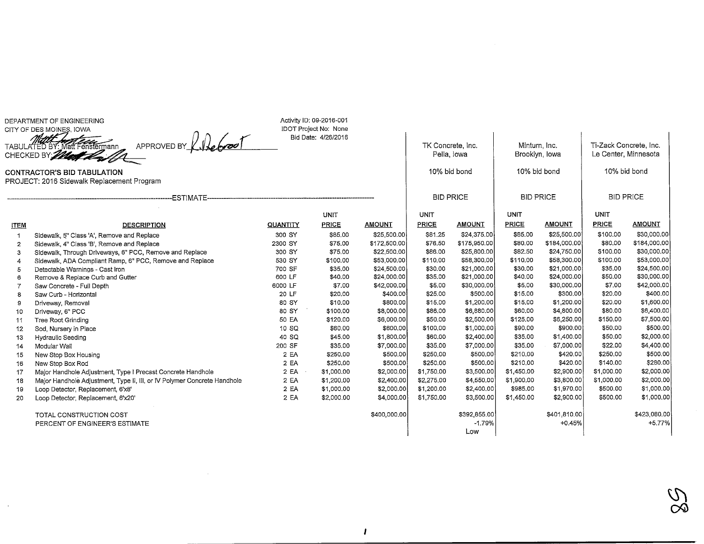DEPARTMENT OF ENGINEERINGCITY OF DES MOINES, IOWA

 $\overline{a}$ 

 $\sim$ 

TABULATED BY: Ma<br>CHECKED BY;*(200* APPROVED BY  $\mathcal{L}$  the boot

Activity ID: 09-2016-001 IDOT Project No: NoneBid Date: 4/26/2016

TK Concrete, Inc.Pella, Iowa10% bid bond

Minturn,, Inc.Brooklyn, Iowa 10% bid bond

Ti-Zack Concrete, Inc. Le Center, Minnesota10% bid bond

CONTRACTOR'S BID TABULATIONPROJECT: 2016 Sidewalk Replacement Program

|                | -------------ESTIMATE---                                                 |          |              |               |             | <b>BID PRICE</b> |              | <b>BID PRICE</b> | <b>BID PRICE</b> |               |
|----------------|--------------------------------------------------------------------------|----------|--------------|---------------|-------------|------------------|--------------|------------------|------------------|---------------|
|                |                                                                          |          | UNIT         |               | <b>UNIT</b> |                  | <b>UNIT</b>  |                  | UNIT             |               |
| <b>ITEM</b>    | <b>DESCRIPTION</b>                                                       | QUANTITY | <b>PRICE</b> | <b>AMOUNT</b> | PRICE       | <b>AMOUNT</b>    | <b>PRICE</b> | <b>AMOUNT</b>    | <b>PRICE</b>     | <b>AMOUNT</b> |
|                | Sidewalk, 5" Class 'A', Remove and Replace                               | 300 SY   | \$85,00      | \$25,500.00   | \$81.25     | \$24,375.00      | \$85.00      | \$25,500,00      | \$100.00         | \$30,000.00   |
| $\overline{2}$ | Sidewalk, 4" Class 'B', Remove and Replace                               | 2300 SY  | \$75,00      | \$172,500.00  | \$76.50     | \$175,950.00     | \$80.00      | \$184,000.00     | \$80,00          | \$184,000.00  |
| 3              | Sidewalk, Through Driveways, 6" PCC, Remove and Replace                  | 300 SY   | \$75.00      | \$22,500.00   | \$86.00     | \$25,800.00      | \$82.50      | \$24,750.00      | \$100.00         | \$30,000.00   |
|                | Sidewalk, ADA Compliant Ramp, 6" PCC, Remove and Replace                 | 530 SY   | \$100.00     | \$53,000.00   | \$110.00    | \$58,300.00      | \$110.00     | \$58,300.00      | \$100.00         | \$53,000,00   |
|                | Detectable Warnings - Cast Iron                                          | 700 SF   | \$35.00      | \$24,500.00   | \$30.00     | \$21,000.00      | \$30,00      | \$21,000.00      | \$35.00          | \$24,500.00   |
| 6              | Remove & Replace Curb and Gutter                                         | 600 LF   | \$40,00      | \$24,000.00   | \$35.00     | \$21,000.00      | \$40.00      | \$24,000.00      | \$50.00          | \$30,000.00   |
|                | Saw Concrete - Full Depth                                                | 6000 LF  | \$7.00       | \$42,000.00   | \$5.00      | \$30,000.00      | \$5,00       | \$30,000,00      | \$7.00           | \$42,000.00   |
|                | Saw Curb - Horizontal                                                    | 20 LF    | \$20.00      | \$400.00      | \$25.00     | \$500.00         | \$15.00      | \$300.00         | \$20.00          | \$400.00      |
|                | Driveway, Removal                                                        | 80 SY    | \$10.00      | \$800.00      | \$15.00     | \$1,200.00       | \$15.00      | \$1,200.00       | \$20.00          | \$1,600.00    |
| 10             | Driveway, 6" PCC                                                         | 80 SY    | \$100.00     | \$8,000.00    | \$86.00     | \$6,880.00       | \$60,00      | \$4,800.00       | \$80.00          | \$6,400.00    |
| -11            | Tree Root Grinding                                                       | 50 EA    | \$120.00     | \$6,000.00    | \$50.00     | \$2,500.00       | \$125.00     | \$6,250.00       | \$150.00         | \$7,500.00    |
| 12             | Sod, Nursery in Place                                                    | 10 SQ    | \$60.00      | \$600,00      | \$100,00    | \$1,000,00       | \$90.00      | \$900,00         | \$50.00          | \$500.00      |
| 13             | Hydraulic Seeding                                                        | 40 SQ    | \$45.00      | \$1,800.00    | \$60,00     | \$2,400.00       | \$35.00      | \$1,400.00       | \$50.00          | \$2,000.00    |
| 14             | Modular Wall                                                             | 200 SF   | \$35.00      | \$7,000.00    | \$35.00     | \$7,000.00       | \$35.00      | \$7,000.00       | \$22,00          | \$4,400.00    |
| 15             | New Stop Box Housing                                                     | 2EA      | \$250.00     | \$500.00      | \$250.00    | \$500,00         | \$210,00     | \$420.00         | \$250,00         | \$500.00      |
| 16             | New Stop Box Rod                                                         | 2 EA     | \$250,00     | \$500.00      | \$250.00    | \$500.00         | \$210,00     | \$420.00         | \$140.00         | \$280.00      |
| 17             | Major Handhole Adjustment, Type I Precast Concrete Handhole              | 2 EA     | \$1,000.00   | \$2,000.00    | \$1,750.00  | \$3,500.00       | \$1,450.00   | \$2,900.00       | \$1,000.00       | \$2,000.00    |
| 18             | Major Handhole Adjustment, Type II, III, or IV Polymer Concrete Handhole | 2 EA     | \$1,200.00   | \$2,400.00    | \$2,275.00  | \$4,550.00       | \$1,900.00   | \$3,800.00       | \$1,000.00       | \$2,000.00    |
| 19             | Loop Detector, Replacement, 6'x8'                                        | 2 EA     | \$1,000.00   | \$2,000.00    | \$1,200.00  | \$2,400.00       | \$985.00     | \$1,970.00       | \$500.00         | \$1,000.00    |
| 20             | Loop Detector, Replacement, 6'x20'                                       | 2 EA     | \$2,000.00   | \$4,000.00    | \$1,750.00  | \$3,500.00       | \$1,450.00   | \$2,900.00       | \$500.00         | \$1,000.00    |
|                | TOTAL CONSTRUCTION COST                                                  |          |              | \$400,000,00  |             | \$392,855.00     |              | \$401,810.00     |                  | \$423,080.00  |
|                | PERCENT OF ENGINEER'S ESTIMATE                                           |          |              |               |             | $-1.79%$         |              | $+0.45%$         |                  | +5.77%        |
|                |                                                                          |          |              |               |             | Low              |              |                  |                  |               |